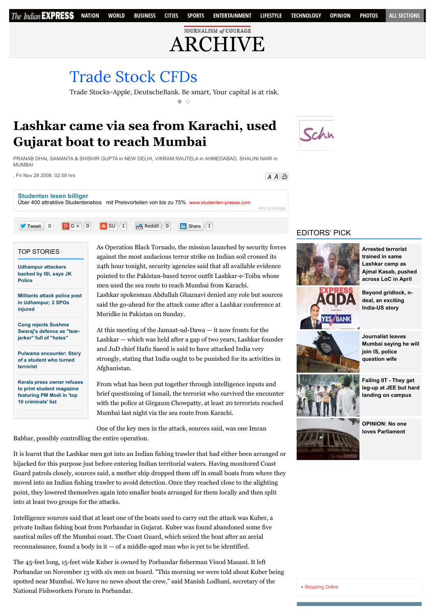**JOURNALISM of COURAGE** [ARCHIVE](http://archive.indianexpress.com/)

## [Trade Stock CFDs](http://www.googleadservices.com/pagead/aclk?sa=L&ai=CPJjndtPEVbL7Ds_Gb8rwmfgNzO__wAfMmvuStAHAjbcBEAEggp3WDGCV8qyCtAegAYT6q94DyAEBqQJQCI-A0lOyPuACAKgDAcgDmwSqBO4BT9CpXGdh7T5GRAkibNsapRsJJVLjAygmWslwEPGk6vdC1ZSfDTQ34ELKylAQzENWT83g6aJ9C61EwyESlZnoN9wtJWOu4TduBnhVe_oiR74hmkfQCC1xZtP3aUYO0OLkuTgL3XA5rUDOoJmK7JjXSgez65QXhtVMsf30qTtkSDqWsET_f1RPEkNSC-_0QvGUZROryz1qXXIbg7Ry7n4r144Es1fSWU9M4d4IaIfZ3Dn84_hVspaYMVMATNlqqjfnWZwughhuyT7C8r8VzeSu9a0UWCCwGGOD2z9rG3g-6ETUZWKY7mjkvhKeKFzpo-AEAYgGAYAH5IXUIagHpr4b2AcB&num=1&cid=5GghtDKgLu3i3RnwT3eUBZJC&sig=AOD64_3sZ6OT-nBL4rzqQZ-gQYlxx-nXMA&client=ca-pub-9517772455344405&adurl=http://www.plus500.de/%3Fid%3D12222%26tags%3Dg_sr%2BGermanyContentEng_cp%2BStocks_ag%2Barchive.indianexpress.com_pl%2Binvest**stocks_ks%2BBroad_mt%2Bc_de%2Bd_nt%2B%26%25D7%2590)

Trade Stocks-Apple, DeutscheBank. Be smart, Your capital is at risk.

 $\bigcap$ 

## **Lashkar came via sea from Karachi, used Gujarat boat to reach Mumbai**

Schn

 $A$   $A$  凸

PRANAB DHAL SAMANTA & SHISHIR GUPTA in NEW DELHI, VIKRAM RAUTELA in AHMEDABAD, SHALINI NAIR in MUMBAI

, Fri Nov 28 2008, 02:59 hrs

TOP STORIES

**Police**

**injured**

**terrorist**

**Udhampur attackers [backed by ISI, says JK](http://indianexpress.com/article/india/india-others/udhampur-attack-terrorists-backed-by-isi-says-jk-police/)**

**[Militants attack police post](http://indianexpress.com/article/india/india-others/militants-attack-police-post-in-udhampur-2-spos-injured/) in Udhampur; 2 SPOs**

**Cong rejects Sushma [Swaraj's defence as "tear](http://indianexpress.com/article/india/politics/cong-rejects-sushma-swarajs-defence-as-tear-jerker-full-of-holes/)jerker" full of "holes"**

**[Pulwama encounter: Story](http://indianexpress.com/article/india/india-others/pulwama-encounter-story-of-a-student-who-turned-terrorist/) of a student who turned**

**[Kerala press owner refuses](http://indianexpress.com/article/india/india-others/kerala-publisher-refuses-to-print-student-magazine-featuring-pm-modi-in-top-10-criminals-list/) to print student magazine featuring PM Modi in 'top 10 criminals' list**



As Operation Black Tornado, the mission launched by security forces against the most audacious terror strike on Indian soil crossed its 24th hour tonight, security agencies said that all available evidence pointed to the Pakistan-based terror outfit Lashkar-e-Toiba whose men used the sea route to reach Mumbai from Karachi.

Lashkar spokesman Abdullah Ghaznavi denied any role but sources said the go-ahead for the attack came after a Lashkar conference at Muridke in Pakistan on Sunday.

At this meeting of the Jamaat-ud-Dawa — it now fronts for the Lashkar — which was held after a gap of two years, Lashkar founder and JuD chief Hafiz Saeed is said to have attacked India very strongly, stating that India ought to be punished for its activities in Afghanistan.

From what has been put together through intelligence inputs and brief questioning of Ismail, the terrorist who survived the encounter with the police at Girgaum Chowpatty, at least 20 terrorists reached Mumbai last night via the sea route from Karachi.

One of the key men in the attack, sources said, was one Imran

Babbar, possibly controlling the entire operation.

It is learnt that the Lashkar men got into an Indian fishing trawler that had either been arranged or hijacked for this purpose just before entering Indian territorial waters. Having monitored Coast Guard patrols closely, sources said, a mother ship dropped them off in small boats from where they moved into an Indian fishing trawler to avoid detection. Once they reached close to the alighting point, they lowered themselves again into smaller boats arranged for them locally and then split into at least two groups for the attacks.

Intelligence sources said that at least one of the boats used to carry out the attack was Kuber, a private Indian fishing boat from Porbandar in Gujarat. Kuber was found abandoned some five nautical miles off the Mumbai coast. The Coast Guard, which seized the boat after an aerial reconnaissance, found a body in  $it - of$  a middle-aged man who is yet to be identified.

The 45-feet long, 15-feet wide Kuber is owned by Porbandar fisherman Vinod Masani. It left Porbandar on November 13 with six men on board. "This morning we were told about Kuber being spotted near Mumbai. We have no news about the crew," said Manish Lodhani, secretary of the National Fishworkers Forum in Porbandar.

## EDITORS' PICK



**Arrested terrorist trained in same Lashkar camp as [Ajmal Kasab, pushed](http://indianexpress.com/article/india/india-others/arrested-terrorist-trained-in-same-lashkar-camp-as-ajmal-kasab-pushed-across-loc-in-april/) across LoC in April**

**[Beyond gridlock, n](http://indianexpress.com/article/india/india-others/beyond-gridlock-n-deal-an-exciting-india-us-story/)deal, an exciting India-US story**

**Journalist leaves [Mumbai saying he will](http://indianexpress.com/article/india/india-others/journalist-leaves-mumbai-saying-he-will-join-is-police-question-wife/) join IS, police question wife**



**Failing IIT - They get [leg-up at JEE but hard](http://indianexpress.com/article/india/india-others/they-get-leg-up-at-jee-but-hard-landing-on-campus/) landing on campus**

**[OPINION: No one](http://indianexpress.com/article/opinion/columns/no-one-loves-parliament/) loves Parliament**

[Shopping Online](http://www.shoppinglevel.co.uk/)